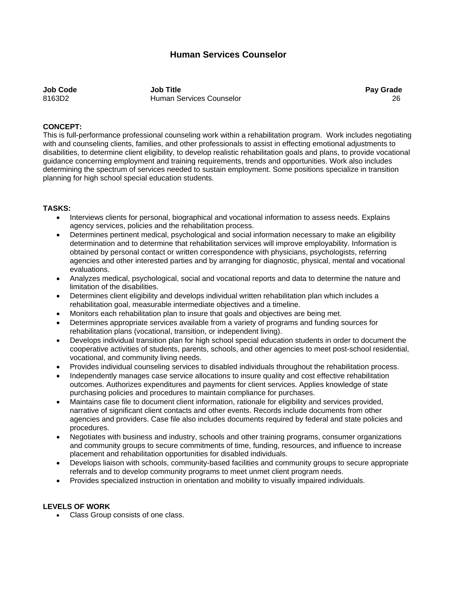# **Human Services Counselor**

**Job Code Job Title Pay Grade**  8163D2 Human Services Counselor 26

### **CONCEPT:**

This is full-performance professional counseling work within a rehabilitation program. Work includes negotiating with and counseling clients, families, and other professionals to assist in effecting emotional adjustments to disabilities, to determine client eligibility, to develop realistic rehabilitation goals and plans, to provide vocational guidance concerning employment and training requirements, trends and opportunities. Work also includes determining the spectrum of services needed to sustain employment. Some positions specialize in transition planning for high school special education students.

### **TASKS:**

- Interviews clients for personal, biographical and vocational information to assess needs. Explains agency services, policies and the rehabilitation process.
- Determines pertinent medical, psychological and social information necessary to make an eligibility determination and to determine that rehabilitation services will improve employability. Information is obtained by personal contact or written correspondence with physicians, psychologists, referring agencies and other interested parties and by arranging for diagnostic, physical, mental and vocational evaluations.
- Analyzes medical, psychological, social and vocational reports and data to determine the nature and limitation of the disabilities.
- Determines client eligibility and develops individual written rehabilitation plan which includes a rehabilitation goal, measurable intermediate objectives and a timeline.
- Monitors each rehabilitation plan to insure that goals and objectives are being met.
- Determines appropriate services available from a variety of programs and funding sources for rehabilitation plans (vocational, transition, or independent living).
- Develops individual transition plan for high school special education students in order to document the cooperative activities of students, parents, schools, and other agencies to meet post-school residential, vocational, and community living needs.
- Provides individual counseling services to disabled individuals throughout the rehabilitation process.
- Independently manages case service allocations to insure quality and cost effective rehabilitation outcomes. Authorizes expenditures and payments for client services. Applies knowledge of state purchasing policies and procedures to maintain compliance for purchases.
- Maintains case file to document client information, rationale for eligibility and services provided, narrative of significant client contacts and other events. Records include documents from other agencies and providers. Case file also includes documents required by federal and state policies and procedures.
- Negotiates with business and industry, schools and other training programs, consumer organizations and community groups to secure commitments of time, funding, resources, and influence to increase placement and rehabilitation opportunities for disabled individuals.
- Develops liaison with schools, community-based facilities and community groups to secure appropriate referrals and to develop community programs to meet unmet client program needs.
- Provides specialized instruction in orientation and mobility to visually impaired individuals.

## **LEVELS OF WORK**

Class Group consists of one class.